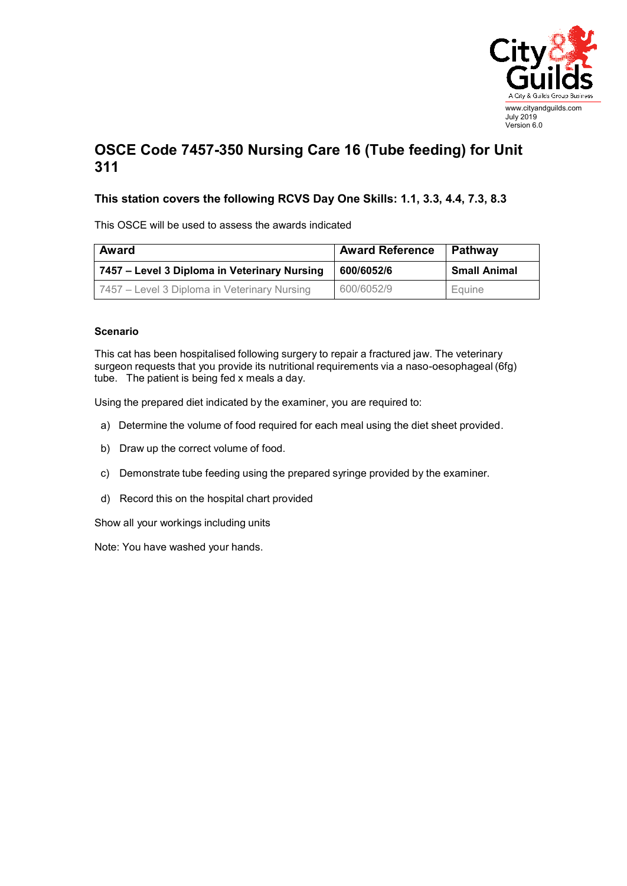

## **OSCE Code 7457-350 Nursing Care 16 (Tube feeding) for Unit 311**

## **This station covers the following RCVS Day One Skills: 1.1, 3.3, 4.4, 7.3, 8.3**

This OSCE will be used to assess the awards indicated

| Award                                        | <b>Award Reference</b> | Pathway             |
|----------------------------------------------|------------------------|---------------------|
| 7457 - Level 3 Diploma in Veterinary Nursing | 600/6052/6             | <b>Small Animal</b> |
| 7457 – Level 3 Diploma in Veterinary Nursing | 600/6052/9             | Equine              |

## **Scenario**

This cat has been hospitalised following surgery to repair a fractured jaw. The veterinary surgeon requests that you provide its nutritional requirements via a naso-oesophageal (6fg) tube. The patient is being fed x meals a day.

Using the prepared diet indicated by the examiner, you are required to:

- a) Determine the volume of food required for each meal using the diet sheet provided.
- b) Draw up the correct volume of food.
- c) Demonstrate tube feeding using the prepared syringe provided by the examiner.
- d) Record this on the hospital chart provided

Show all your workings including units

Note: You have washed your hands.